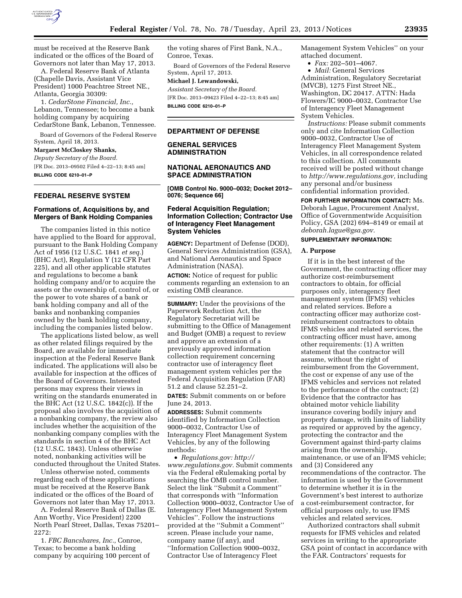

must be received at the Reserve Bank indicated or the offices of the Board of Governors not later than May 17, 2013.

A. Federal Reserve Bank of Atlanta (Chapelle Davis, Assistant Vice President) 1000 Peachtree Street NE., Atlanta, Georgia 30309:

1. *CedarStone Financial, Inc.,*  Lebanon, Tennessee; to become a bank holding company by acquiring CedarStone Bank, Lebanon, Tennessee.

Board of Governors of the Federal Reserve System, April 18, 2013.

# **Margaret McCloskey Shanks,**

*Deputy Secretary of the Board.*  [FR Doc. 2013–09502 Filed 4–22–13; 8:45 am]

**BILLING CODE 6210–01–P** 

## **FEDERAL RESERVE SYSTEM**

### **Formations of, Acquisitions by, and Mergers of Bank Holding Companies**

The companies listed in this notice have applied to the Board for approval, pursuant to the Bank Holding Company Act of 1956 (12 U.S.C. 1841 *et seq.*) (BHC Act), Regulation Y (12 CFR Part 225), and all other applicable statutes and regulations to become a bank holding company and/or to acquire the assets or the ownership of, control of, or the power to vote shares of a bank or bank holding company and all of the banks and nonbanking companies owned by the bank holding company, including the companies listed below.

The applications listed below, as well as other related filings required by the Board, are available for immediate inspection at the Federal Reserve Bank indicated. The applications will also be available for inspection at the offices of the Board of Governors. Interested persons may express their views in writing on the standards enumerated in the BHC Act (12 U.S.C. 1842(c)). If the proposal also involves the acquisition of a nonbanking company, the review also includes whether the acquisition of the nonbanking company complies with the standards in section 4 of the BHC Act (12 U.S.C. 1843). Unless otherwise noted, nonbanking activities will be conducted throughout the United States.

Unless otherwise noted, comments regarding each of these applications must be received at the Reserve Bank indicated or the offices of the Board of Governors not later than May 17, 2013.

A. Federal Reserve Bank of Dallas (E. Ann Worthy, Vice President) 2200 North Pearl Street, Dallas, Texas 75201– 2272:

1. *FBC Bancshares, Inc.,* Conroe, Texas; to become a bank holding company by acquiring 100 percent of the voting shares of First Bank, N.A., Conroe, Texas.

Board of Governors of the Federal Reserve System, April 17, 2013.

#### **Michael J. Lewandowski,**

*Assistant Secretary of the Board.*  [FR Doc. 2013–09423 Filed 4–22–13; 8:45 am] **BILLING CODE 6210–01–P** 

#### **DEPARTMENT OF DEFENSE**

## **GENERAL SERVICES ADMINISTRATION**

### **NATIONAL AERONAUTICS AND SPACE ADMINISTRATION**

**[OMB Control No. 9000–0032; Docket 2012– 0076; Sequence 66]** 

### **Federal Acquisition Regulation; Information Collection; Contractor Use of Interagency Fleet Management System Vehicles**

**AGENCY:** Department of Defense (DOD), General Services Administration (GSA), and National Aeronautics and Space Administration (NASA).

**ACTION:** Notice of request for public comments regarding an extension to an existing OMB clearance.

**SUMMARY:** Under the provisions of the Paperwork Reduction Act, the Regulatory Secretariat will be submitting to the Office of Management and Budget (OMB) a request to review and approve an extension of a previously approved information collection requirement concerning contractor use of interagency fleet management system vehicles per the Federal Acquisition Regulation (FAR) 51.2 and clause 52.251–2.

**DATES:** Submit comments on or before June 24, 2013.

**ADDRESSES:** Submit comments identified by Information Collection 9000–0032, Contractor Use of Interagency Fleet Management System Vehicles, by any of the following methods:

• *Regulations.gov: [http://](http://www.regulations.gov)  [www.regulations.gov.](http://www.regulations.gov)* Submit comments via the Federal eRulemaking portal by searching the OMB control number. Select the link ''Submit a Comment'' that corresponds with ''Information Collection 9000–0032, Contractor Use of Interagency Fleet Management System Vehicles''. Follow the instructions provided at the ''Submit a Comment'' screen. Please include your name, company name (if any), and ''Information Collection 9000–0032, Contractor Use of Interagency Fleet

Management System Vehicles'' on your attached document.

• *Fax:* 202–501–4067.

• *Mail:* General Services Administration, Regulatory Secretariat (MVCB), 1275 First Street NE., Washington, DC 20417. ATTN: Hada Flowers/IC 9000–0032, Contractor Use of Interagency Fleet Management System Vehicles.

*Instructions:* Please submit comments only and cite Information Collection 9000–0032, Contractor Use of Interagency Fleet Management System Vehicles, in all correspondence related to this collection. All comments received will be posted without change to *[http://www.regulations.gov,](http://www.regulations.gov)* including any personal and/or business confidential information provided.

**FOR FURTHER INFORMATION CONTACT:** Ms. Deborah Lague, Procurement Analyst, Office of Governmentwide Acquisition Policy, GSA (202) 694–8149 or email at *[deborah.lague@gsa.gov.](mailto:deborah.lague@gsa.gov)* 

## **SUPPLEMENTARY INFORMATION:**

#### **A. Purpose**

If it is in the best interest of the Government, the contracting officer may authorize cost-reimbursement contractors to obtain, for official purposes only, interagency fleet management system (IFMS) vehicles and related services. Before a contracting officer may authorize costreimbursement contractors to obtain IFMS vehicles and related services, the contracting officer must have, among other requirements: (1) A written statement that the contractor will assume, without the right of reimbursement from the Government, the cost or expense of any use of the IFMS vehicles and services not related to the performance of the contract; (2) Evidence that the contractor has obtained motor vehicle liability insurance covering bodily injury and property damage, with limits of liability as required or approved by the agency, protecting the contractor and the Government against third-party claims arising from the ownership, maintenance, or use of an IFMS vehicle; and (3) Considered any recommendations of the contractor. The information is used by the Government to determine whether it is in the Government's best interest to authorize a cost-reimbursement contractor, for official purposes only, to use IFMS vehicles and related services.

Authorized contractors shall submit requests for IFMS vehicles and related services in writing to the appropriate GSA point of contact in accordance with the FAR. Contractors' requests for